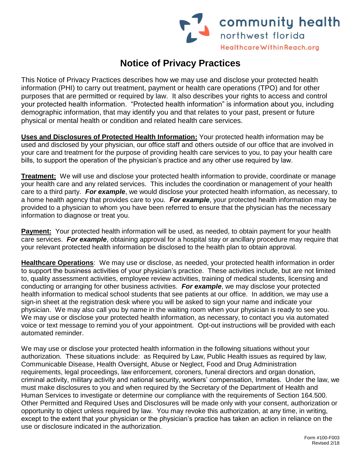

## **Notice of Privacy Practices**

This Notice of Privacy Practices describes how we may use and disclose your protected health information (PHI) to carry out treatment, payment or health care operations (TPO) and for other purposes that are permitted or required by law. It also describes your rights to access and control your protected health information. "Protected health information" is information about you, including demographic information, that may identify you and that relates to your past, present or future physical or mental health or condition and related health care services.

**Uses and Disclosures of Protected Health Information:** Your protected health information may be used and disclosed by your physician, our office staff and others outside of our office that are involved in your care and treatment for the purpose of providing health care services to you, to pay your health care bills, to support the operation of the physician's practice and any other use required by law.

**Treatment:** We will use and disclose your protected health information to provide, coordinate or manage your health care and any related services. This includes the coordination or management of your health care to a third party. *For example*, we would disclose your protected health information, as necessary, to a home health agency that provides care to you. *For example*, your protected health information may be provided to a physician to whom you have been referred to ensure that the physician has the necessary information to diagnose or treat you.

**Payment:** Your protected health information will be used, as needed, to obtain payment for your health care services. *For example*, obtaining approval for a hospital stay or ancillary procedure may require that your relevant protected health information be disclosed to the health plan to obtain approval.

**Healthcare Operations**: We may use or disclose, as needed, your protected health information in order to support the business activities of your physician's practice. These activities include, but are not limited to, quality assessment activities, employee review activities, training of medical students, licensing and conducting or arranging for other business activities. *For example*, we may disclose your protected health information to medical school students that see patients at our office. In addition, we may use a sign-in sheet at the registration desk where you will be asked to sign your name and indicate your physician. We may also call you by name in the waiting room when your physician is ready to see you. We may use or disclose your protected health information, as necessary, to contact you via automated voice or text message to remind you of your appointment. Opt-out instructions will be provided with each automated reminder.

We may use or disclose your protected health information in the following situations without your authorization. These situations include: as Required by Law, Public Health issues as required by law, Communicable Disease, Health Oversight, Abuse or Neglect, Food and Drug Administration requirements, legal proceedings, law enforcement, coroners, funeral directors and organ donation, criminal activity, military activity and national security, workers' compensation, Inmates. Under the law, we must make disclosures to you and when required by the Secretary of the Department of Health and Human Services to investigate or determine our compliance with the requirements of Section 164.500. Other Permitted and Required Uses and Disclosures will be made only with your consent, authorization or opportunity to object unless required by law. You may revoke this authorization, at any time, in writing, except to the extent that your physician or the physician's practice has taken an action in reliance on the use or disclosure indicated in the authorization.